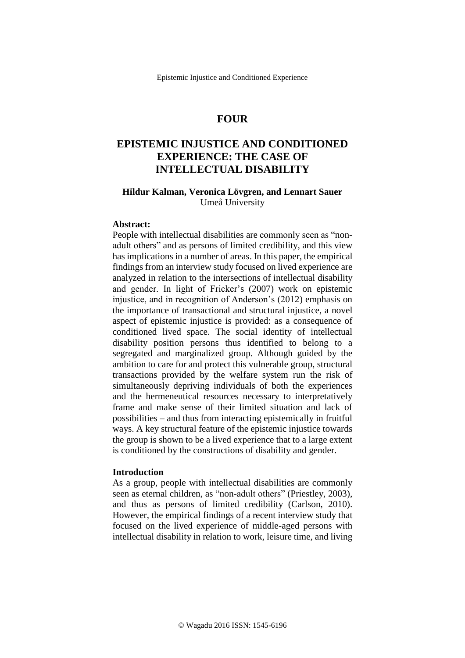# **FOUR**

# **EPISTEMIC INJUSTICE AND CONDITIONED EXPERIENCE: THE CASE OF INTELLECTUAL DISABILITY**

# **Hildur Kalman, Veronica Lövgren, and Lennart Sauer** Umeå University

# **Abstract:**

People with intellectual disabilities are commonly seen as "nonadult others" and as persons of limited credibility, and this view has implications in a number of areas. In this paper, the empirical findings from an interview study focused on lived experience are analyzed in relation to the intersections of intellectual disability and gender. In light of Fricker's (2007) work on epistemic injustice, and in recognition of Anderson's (2012) emphasis on the importance of transactional and structural injustice, a novel aspect of epistemic injustice is provided: as a consequence of conditioned lived space. The social identity of intellectual disability position persons thus identified to belong to a segregated and marginalized group. Although guided by the ambition to care for and protect this vulnerable group, structural transactions provided by the welfare system run the risk of simultaneously depriving individuals of both the experiences and the hermeneutical resources necessary to interpretatively frame and make sense of their limited situation and lack of possibilities – and thus from interacting epistemically in fruitful ways. A key structural feature of the epistemic injustice towards the group is shown to be a lived experience that to a large extent is conditioned by the constructions of disability and gender.

#### **Introduction**

As a group, people with intellectual disabilities are commonly seen as eternal children, as "non-adult others" (Priestley, 2003), and thus as persons of limited credibility (Carlson, 2010). However, the empirical findings of a recent interview study that focused on the lived experience of middle-aged persons with intellectual disability in relation to work, leisure time, and living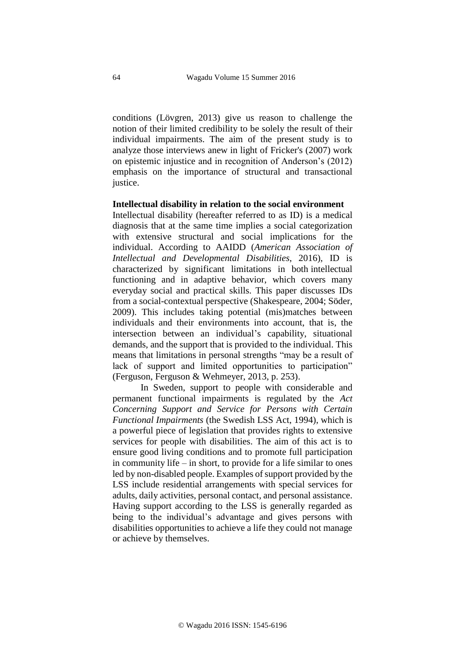conditions (Lövgren, 2013) give us reason to challenge the notion of their limited credibility to be solely the result of their individual impairments. The aim of the present study is to analyze those interviews anew in light of Fricker's (2007) work on epistemic injustice and in recognition of Anderson's (2012) emphasis on the importance of structural and transactional justice.

# **Intellectual disability in relation to the social environment**

Intellectual disability (hereafter referred to as ID) is a medical diagnosis that at the same time implies a social categorization with extensive structural and social implications for the individual. According to AAIDD (*American Association of Intellectual and Developmental Disabilities*, 2016), ID is characterized by significant limitations in both intellectual functioning and in adaptive behavior, which covers many everyday social and practical skills. This paper discusses IDs from a social-contextual perspective (Shakespeare, 2004; Söder, 2009). This includes taking potential (mis)matches between individuals and their environments into account, that is, the intersection between an individual's capability, situational demands, and the support that is provided to the individual. This means that limitations in personal strengths "may be a result of lack of support and limited opportunities to participation" (Ferguson, Ferguson & Wehmeyer, 2013, p. 253).

In Sweden, support to people with considerable and permanent functional impairments is regulated by the *Act Concerning Support and Service for Persons with Certain Functional Impairments* (the Swedish LSS Act, 1994), which is a powerful piece of legislation that provides rights to extensive services for people with disabilities. The aim of this act is to ensure good living conditions and to promote full participation in community life – in short, to provide for a life similar to ones led by non-disabled people. Examples of support provided by the LSS include residential arrangements with special services for adults, daily activities, personal contact, and personal assistance. Having support according to the LSS is generally regarded as being to the individual's advantage and gives persons with disabilities opportunities to achieve a life they could not manage or achieve by themselves.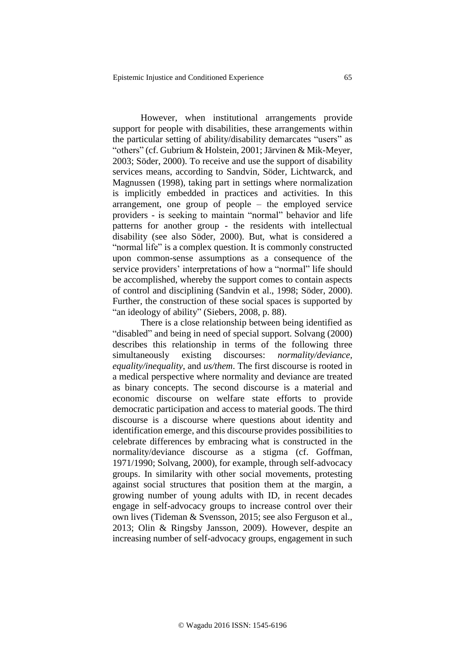However, when institutional arrangements provide support for people with disabilities, these arrangements within the particular setting of ability/disability demarcates "users" as "others" (cf. Gubrium & Holstein, 2001; Järvinen & Mik-Meyer, 2003; Söder, 2000). To receive and use the support of disability services means, according to Sandvin, Söder, Lichtwarck, and Magnussen (1998), taking part in settings where normalization is implicitly embedded in practices and activities. In this arrangement, one group of people – the employed service providers - is seeking to maintain "normal" behavior and life patterns for another group - the residents with intellectual disability (see also Söder, 2000). But, what is considered a "normal life" is a complex question. It is commonly constructed upon common-sense assumptions as a consequence of the service providers' interpretations of how a "normal" life should be accomplished, whereby the support comes to contain aspects of control and disciplining (Sandvin et al., 1998; Söder, 2000). Further, the construction of these social spaces is supported by "an ideology of ability" (Siebers, 2008, p. 88).

There is a close relationship between being identified as "disabled" and being in need of special support. Solvang (2000) describes this relationship in terms of the following three simultaneously existing discourses: *normality/deviance, equality/inequality*, and *us/them*. The first discourse is rooted in a medical perspective where normality and deviance are treated as binary concepts. The second discourse is a material and economic discourse on welfare state efforts to provide democratic participation and access to material goods. The third discourse is a discourse where questions about identity and identification emerge, and this discourse provides possibilities to celebrate differences by embracing what is constructed in the normality/deviance discourse as a stigma (cf. Goffman, 1971/1990; Solvang, 2000), for example, through self-advocacy groups. In similarity with other social movements, protesting against social structures that position them at the margin, a growing number of young adults with ID, in recent decades engage in self-advocacy groups to increase control over their own lives (Tideman & Svensson, 2015; see also Ferguson et al., 2013; Olin & Ringsby Jansson, 2009). However, despite an increasing number of self-advocacy groups, engagement in such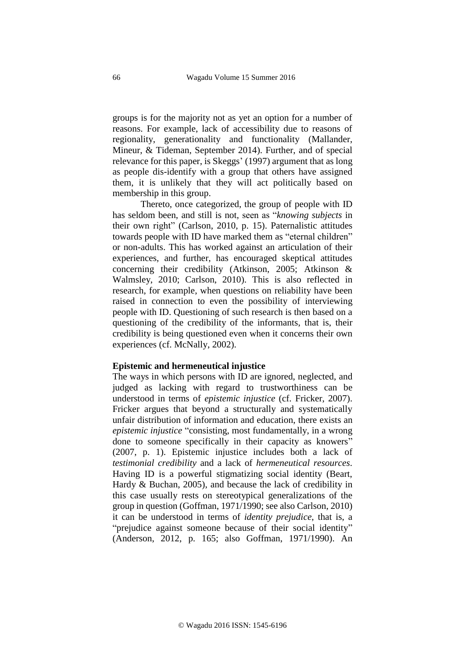groups is for the majority not as yet an option for a number of reasons. For example, lack of accessibility due to reasons of regionality, generationality and functionality (Mallander, Mineur, & Tideman, September 2014). Further, and of special relevance for this paper, is Skeggs' (1997) argument that as long as people dis-identify with a group that others have assigned them, it is unlikely that they will act politically based on membership in this group.

Thereto, once categorized, the group of people with ID has seldom been, and still is not, seen as "*knowing subjects* in their own right" (Carlson, 2010, p. 15). Paternalistic attitudes towards people with ID have marked them as "eternal children" or non-adults. This has worked against an articulation of their experiences, and further, has encouraged skeptical attitudes concerning their credibility (Atkinson, 2005; Atkinson & Walmsley, 2010; Carlson, 2010). This is also reflected in research, for example, when questions on reliability have been raised in connection to even the possibility of interviewing people with ID. Questioning of such research is then based on a questioning of the credibility of the informants, that is, their credibility is being questioned even when it concerns their own experiences (cf. McNally, 2002).

# **Epistemic and hermeneutical injustice**

The ways in which persons with ID are ignored, neglected, and judged as lacking with regard to trustworthiness can be understood in terms of *epistemic injustice* (cf. Fricker, 2007). Fricker argues that beyond a structurally and systematically unfair distribution of information and education, there exists an *epistemic injustice* "consisting, most fundamentally, in a wrong done to someone specifically in their capacity as knowers" (2007, p. 1). Epistemic injustice includes both a lack of *testimonial credibility* and a lack of *hermeneutical resources*. Having ID is a powerful stigmatizing social identity (Beart, Hardy & Buchan, 2005), and because the lack of credibility in this case usually rests on stereotypical generalizations of the group in question (Goffman, 1971/1990; see also Carlson, 2010) it can be understood in terms of *identity prejudice*, that is, a "prejudice against someone because of their social identity" (Anderson, 2012, p. 165; also Goffman, 1971/1990). An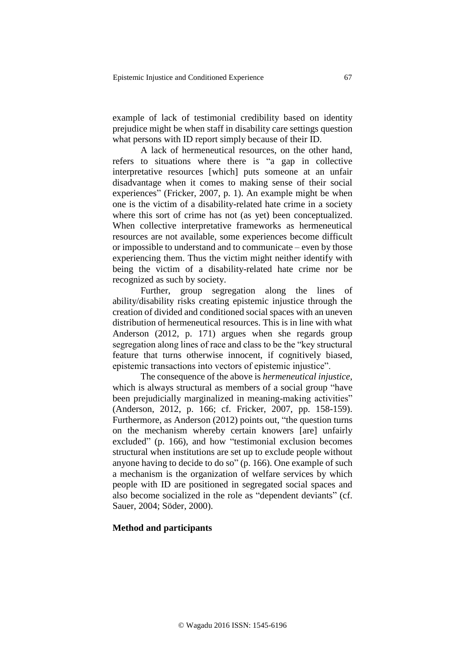example of lack of testimonial credibility based on identity prejudice might be when staff in disability care settings question what persons with ID report simply because of their ID.

A lack of hermeneutical resources, on the other hand, refers to situations where there is "a gap in collective interpretative resources [which] puts someone at an unfair disadvantage when it comes to making sense of their social experiences" (Fricker, 2007, p. 1). An example might be when one is the victim of a disability-related hate crime in a society where this sort of crime has not (as yet) been conceptualized. When collective interpretative frameworks as hermeneutical resources are not available, some experiences become difficult or impossible to understand and to communicate – even by those experiencing them. Thus the victim might neither identify with being the victim of a disability-related hate crime nor be recognized as such by society.

Further, group segregation along the lines of ability/disability risks creating epistemic injustice through the creation of divided and conditioned social spaces with an uneven distribution of hermeneutical resources. This is in line with what Anderson (2012, p. 171) argues when she regards group segregation along lines of race and class to be the "key structural feature that turns otherwise innocent, if cognitively biased, epistemic transactions into vectors of epistemic injustice".

The consequence of the above is *hermeneutical injustice*, which is always structural as members of a social group "have been prejudicially marginalized in meaning-making activities" (Anderson, 2012, p. 166; cf. Fricker, 2007, pp. 158-159). Furthermore, as Anderson (2012) points out, "the question turns on the mechanism whereby certain knowers [are] unfairly excluded" (p. 166), and how "testimonial exclusion becomes structural when institutions are set up to exclude people without anyone having to decide to do so" (p. 166). One example of such a mechanism is the organization of welfare services by which people with ID are positioned in segregated social spaces and also become socialized in the role as "dependent deviants" (cf. Sauer, 2004; Söder, 2000).

# **Method and participants**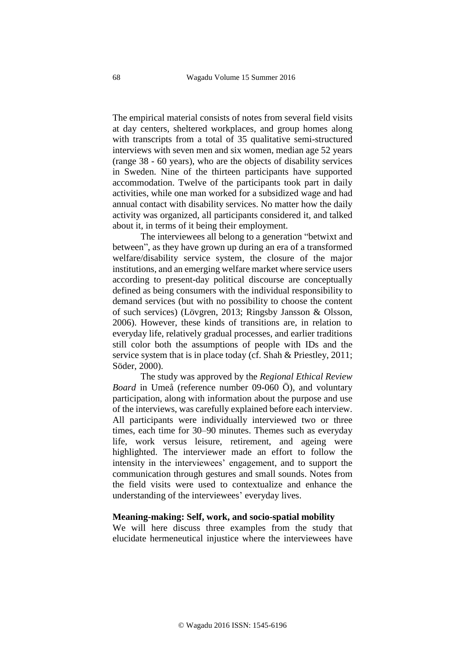The empirical material consists of notes from several field visits at day centers, sheltered workplaces, and group homes along with transcripts from a total of 35 qualitative semi-structured interviews with seven men and six women, median age 52 years (range 38 - 60 years), who are the objects of disability services in Sweden. Nine of the thirteen participants have supported accommodation. Twelve of the participants took part in daily activities, while one man worked for a subsidized wage and had annual contact with disability services. No matter how the daily activity was organized, all participants considered it, and talked about it, in terms of it being their employment.

The interviewees all belong to a generation "betwixt and between", as they have grown up during an era of a transformed welfare/disability service system, the closure of the major institutions, and an emerging welfare market where service users according to present-day political discourse are conceptually defined as being consumers with the individual responsibility to demand services (but with no possibility to choose the content of such services) (Lövgren, 2013; Ringsby Jansson & Olsson, 2006). However, these kinds of transitions are, in relation to everyday life, relatively gradual processes, and earlier traditions still color both the assumptions of people with IDs and the service system that is in place today (cf. Shah & Priestley, 2011; Söder, 2000).

The study was approved by the *Regional Ethical Review Board* in Umeå (reference number 09-060 Ö), and voluntary participation, along with information about the purpose and use of the interviews, was carefully explained before each interview. All participants were individually interviewed two or three times, each time for 30–90 minutes. Themes such as everyday life, work versus leisure, retirement, and ageing were highlighted. The interviewer made an effort to follow the intensity in the interviewees' engagement, and to support the communication through gestures and small sounds. Notes from the field visits were used to contextualize and enhance the understanding of the interviewees' everyday lives.

#### **Meaning-making: Self, work, and socio-spatial mobility**

We will here discuss three examples from the study that elucidate hermeneutical injustice where the interviewees have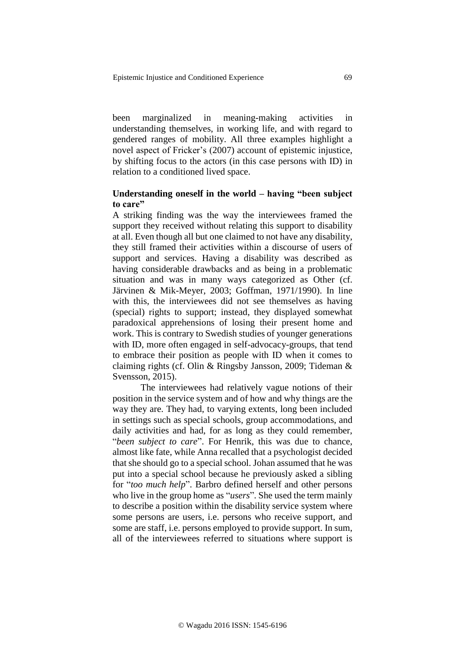been marginalized in meaning-making activities in understanding themselves, in working life, and with regard to gendered ranges of mobility. All three examples highlight a novel aspect of Fricker's (2007) account of epistemic injustice, by shifting focus to the actors (in this case persons with ID) in relation to a conditioned lived space.

# **Understanding oneself in the world – having "been subject to care"**

A striking finding was the way the interviewees framed the support they received without relating this support to disability at all. Even though all but one claimed to not have any disability, they still framed their activities within a discourse of users of support and services. Having a disability was described as having considerable drawbacks and as being in a problematic situation and was in many ways categorized as Other (cf. Järvinen & Mik-Meyer, 2003; Goffman, 1971/1990). In line with this, the interviewees did not see themselves as having (special) rights to support; instead, they displayed somewhat paradoxical apprehensions of losing their present home and work. This is contrary to Swedish studies of younger generations with ID, more often engaged in self-advocacy-groups, that tend to embrace their position as people with ID when it comes to claiming rights (cf. Olin & Ringsby Jansson, 2009; Tideman & Svensson, 2015).

The interviewees had relatively vague notions of their position in the service system and of how and why things are the way they are. They had, to varying extents, long been included in settings such as special schools, group accommodations, and daily activities and had, for as long as they could remember, "*been subject to care*". For Henrik, this was due to chance, almost like fate, while Anna recalled that a psychologist decided that she should go to a special school. Johan assumed that he was put into a special school because he previously asked a sibling for "*too much help*". Barbro defined herself and other persons who live in the group home as "*users*". She used the term mainly to describe a position within the disability service system where some persons are users, i.e. persons who receive support, and some are staff, i.e. persons employed to provide support. In sum, all of the interviewees referred to situations where support is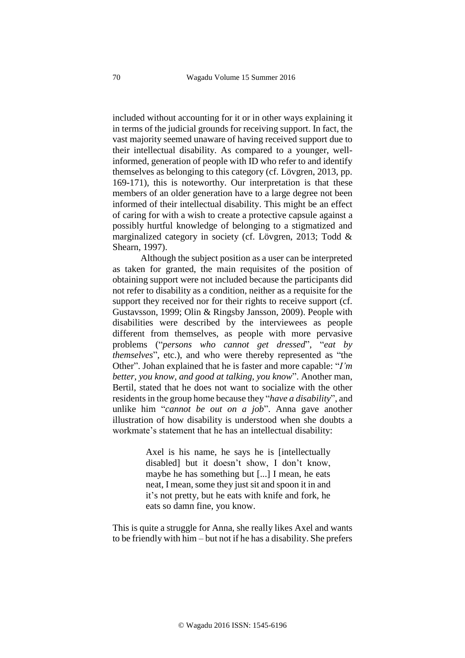included without accounting for it or in other ways explaining it in terms of the judicial grounds for receiving support. In fact, the vast majority seemed unaware of having received support due to their intellectual disability. As compared to a younger, wellinformed, generation of people with ID who refer to and identify themselves as belonging to this category (cf. Lövgren, 2013, pp. 169-171), this is noteworthy. Our interpretation is that these members of an older generation have to a large degree not been informed of their intellectual disability. This might be an effect of caring for with a wish to create a protective capsule against a possibly hurtful knowledge of belonging to a stigmatized and marginalized category in society (cf. Lövgren, 2013; Todd & Shearn, 1997).

Although the subject position as a user can be interpreted as taken for granted, the main requisites of the position of obtaining support were not included because the participants did not refer to disability as a condition, neither as a requisite for the support they received nor for their rights to receive support (cf. Gustavsson, 1999; Olin & Ringsby Jansson, 2009). People with disabilities were described by the interviewees as people different from themselves, as people with more pervasive problems ("*persons who cannot get dressed*", "*eat by themselves*", etc.), and who were thereby represented as "the Other". Johan explained that he is faster and more capable: "*I'm better, you know, and good at talking, you know*". Another man, Bertil, stated that he does not want to socialize with the other residents in the group home because they "*have a disability*", and unlike him "*cannot be out on a job*". Anna gave another illustration of how disability is understood when she doubts a workmate's statement that he has an intellectual disability:

> Axel is his name, he says he is [intellectually disabled] but it doesn't show, I don't know, maybe he has something but [...] I mean, he eats neat, I mean, some they just sit and spoon it in and it's not pretty, but he eats with knife and fork, he eats so damn fine, you know.

This is quite a struggle for Anna, she really likes Axel and wants to be friendly with him – but not if he has a disability. She prefers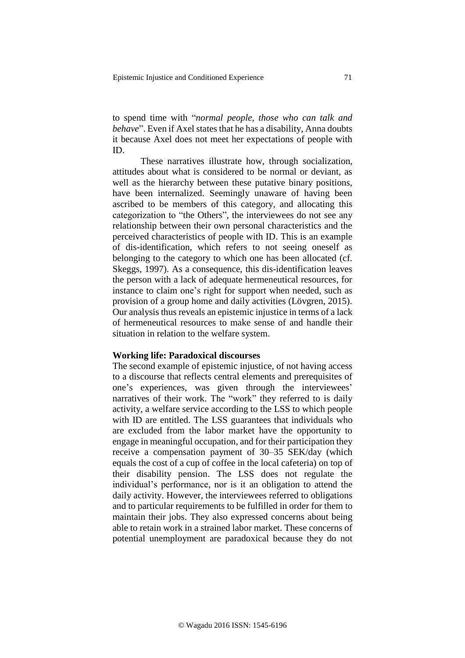to spend time with "*normal people, those who can talk and behave*". Even if Axel states that he has a disability, Anna doubts it because Axel does not meet her expectations of people with ID.

These narratives illustrate how, through socialization, attitudes about what is considered to be normal or deviant, as well as the hierarchy between these putative binary positions, have been internalized. Seemingly unaware of having been ascribed to be members of this category, and allocating this categorization to "the Others", the interviewees do not see any relationship between their own personal characteristics and the perceived characteristics of people with ID. This is an example of dis-identification, which refers to not seeing oneself as belonging to the category to which one has been allocated (cf. Skeggs, 1997). As a consequence, this dis-identification leaves the person with a lack of adequate hermeneutical resources, for instance to claim one's right for support when needed, such as provision of a group home and daily activities (Lövgren, 2015). Our analysis thus reveals an epistemic injustice in terms of a lack of hermeneutical resources to make sense of and handle their situation in relation to the welfare system.

# **Working life: Paradoxical discourses**

The second example of epistemic injustice, of not having access to a discourse that reflects central elements and prerequisites of one's experiences, was given through the interviewees' narratives of their work. The "work" they referred to is daily activity, a welfare service according to the LSS to which people with ID are entitled. The LSS guarantees that individuals who are excluded from the labor market have the opportunity to engage in meaningful occupation, and for their participation they receive a compensation payment of 30–35 SEK/day (which equals the cost of a cup of coffee in the local cafeteria) on top of their disability pension. The LSS does not regulate the individual's performance, nor is it an obligation to attend the daily activity. However, the interviewees referred to obligations and to particular requirements to be fulfilled in order for them to maintain their jobs. They also expressed concerns about being able to retain work in a strained labor market. These concerns of potential unemployment are paradoxical because they do not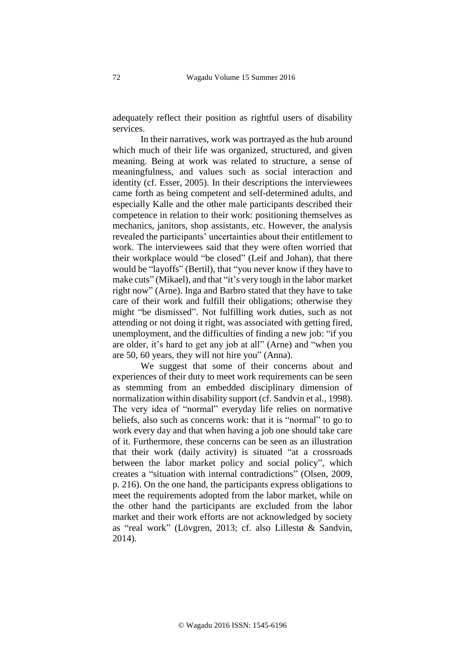adequately reflect their position as rightful users of disability services.

In their narratives, work was portrayed as the hub around which much of their life was organized, structured, and given meaning. Being at work was related to structure, a sense of meaningfulness, and values such as social interaction and identity (cf. Esser, 2005). In their descriptions the interviewees came forth as being competent and self-determined adults, and especially Kalle and the other male participants described their competence in relation to their work: positioning themselves as mechanics, janitors, shop assistants, etc. However, the analysis revealed the participants' uncertainties about their entitlement to work. The interviewees said that they were often worried that their workplace would "be closed" (Leif and Johan), that there would be "layoffs" (Bertil), that "you never know if they have to make cuts" (Mikael), and that "it's very tough in the labor market right now" (Arne). Inga and Barbro stated that they have to take care of their work and fulfill their obligations; otherwise they might "be dismissed". Not fulfilling work duties, such as not attending or not doing it right, was associated with getting fired, unemployment, and the difficulties of finding a new job: "if you are older, it's hard to get any job at all" (Arne) and "when you are 50, 60 years, they will not hire you" (Anna).

We suggest that some of their concerns about and experiences of their duty to meet work requirements can be seen as stemming from an embedded disciplinary dimension of normalization within disability support (cf. Sandvin et al., 1998). The very idea of "normal" everyday life relies on normative beliefs, also such as concerns work: that it is "normal" to go to work every day and that when having a job one should take care of it. Furthermore, these concerns can be seen as an illustration that their work (daily activity) is situated "at a crossroads between the labor market policy and social policy", which creates a "situation with internal contradictions" (Olsen, 2009, p. 216). On the one hand, the participants express obligations to meet the requirements adopted from the labor market, while on the other hand the participants are excluded from the labor market and their work efforts are not acknowledged by society as "real work" (Lövgren, 2013; cf. also Lillestø & Sandvin, 2014).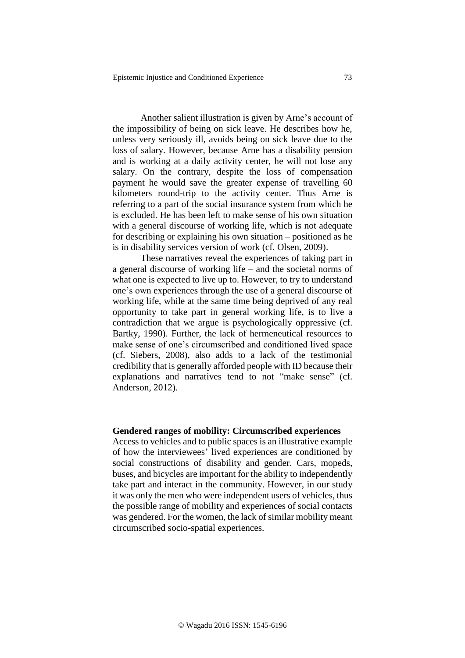Another salient illustration is given by Arne's account of the impossibility of being on sick leave. He describes how he, unless very seriously ill, avoids being on sick leave due to the loss of salary. However, because Arne has a disability pension and is working at a daily activity center, he will not lose any salary. On the contrary, despite the loss of compensation payment he would save the greater expense of travelling 60 kilometers round-trip to the activity center. Thus Arne is referring to a part of the social insurance system from which he is excluded. He has been left to make sense of his own situation with a general discourse of working life, which is not adequate for describing or explaining his own situation – positioned as he is in disability services version of work (cf. Olsen, 2009).

These narratives reveal the experiences of taking part in a general discourse of working life – and the societal norms of what one is expected to live up to. However, to try to understand one's own experiences through the use of a general discourse of working life, while at the same time being deprived of any real opportunity to take part in general working life, is to live a contradiction that we argue is psychologically oppressive (cf. Bartky, 1990). Further, the lack of hermeneutical resources to make sense of one's circumscribed and conditioned lived space (cf. Siebers, 2008), also adds to a lack of the testimonial credibility that is generally afforded people with ID because their explanations and narratives tend to not "make sense" (cf. Anderson, 2012).

## **Gendered ranges of mobility: Circumscribed experiences**

Access to vehicles and to public spaces is an illustrative example of how the interviewees' lived experiences are conditioned by social constructions of disability and gender. Cars, mopeds, buses, and bicycles are important for the ability to independently take part and interact in the community. However, in our study it was only the men who were independent users of vehicles, thus the possible range of mobility and experiences of social contacts was gendered. For the women, the lack of similar mobility meant circumscribed socio-spatial experiences.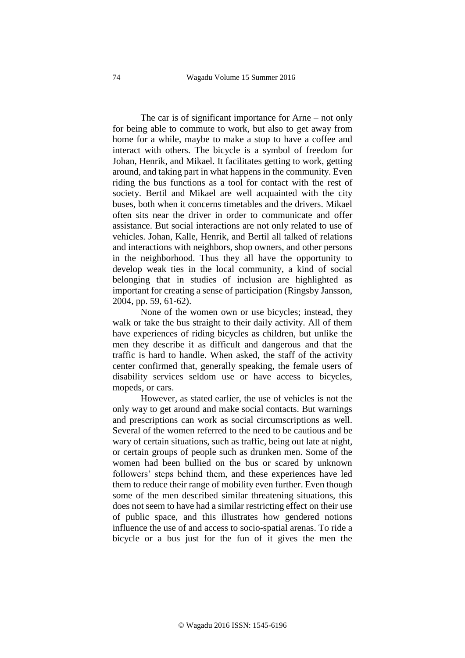The car is of significant importance for Arne – not only for being able to commute to work, but also to get away from home for a while, maybe to make a stop to have a coffee and interact with others. The bicycle is a symbol of freedom for Johan, Henrik, and Mikael. It facilitates getting to work, getting around, and taking part in what happens in the community. Even riding the bus functions as a tool for contact with the rest of society. Bertil and Mikael are well acquainted with the city buses, both when it concerns timetables and the drivers. Mikael often sits near the driver in order to communicate and offer assistance. But social interactions are not only related to use of vehicles. Johan, Kalle, Henrik, and Bertil all talked of relations and interactions with neighbors, shop owners, and other persons in the neighborhood. Thus they all have the opportunity to develop weak ties in the local community, a kind of social belonging that in studies of inclusion are highlighted as important for creating a sense of participation (Ringsby Jansson, 2004, pp. 59, 61-62).

None of the women own or use bicycles; instead, they walk or take the bus straight to their daily activity. All of them have experiences of riding bicycles as children, but unlike the men they describe it as difficult and dangerous and that the traffic is hard to handle. When asked, the staff of the activity center confirmed that, generally speaking, the female users of disability services seldom use or have access to bicycles, mopeds, or cars.

However, as stated earlier, the use of vehicles is not the only way to get around and make social contacts. But warnings and prescriptions can work as social circumscriptions as well. Several of the women referred to the need to be cautious and be wary of certain situations, such as traffic, being out late at night, or certain groups of people such as drunken men. Some of the women had been bullied on the bus or scared by unknown followers' steps behind them, and these experiences have led them to reduce their range of mobility even further. Even though some of the men described similar threatening situations, this does not seem to have had a similar restricting effect on their use of public space, and this illustrates how gendered notions influence the use of and access to socio-spatial arenas. To ride a bicycle or a bus just for the fun of it gives the men the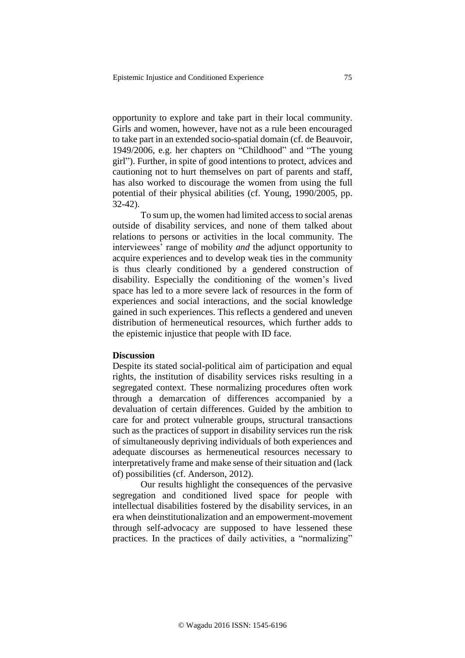opportunity to explore and take part in their local community. Girls and women, however, have not as a rule been encouraged to take part in an extended socio-spatial domain (cf. de Beauvoir, 1949/2006, e.g. her chapters on "Childhood" and "The young girl"). Further, in spite of good intentions to protect, advices and cautioning not to hurt themselves on part of parents and staff, has also worked to discourage the women from using the full potential of their physical abilities (cf. Young, 1990/2005, pp. 32-42).

To sum up, the women had limited access to social arenas outside of disability services, and none of them talked about relations to persons or activities in the local community. The interviewees' range of mobility *and* the adjunct opportunity to acquire experiences and to develop weak ties in the community is thus clearly conditioned by a gendered construction of disability. Especially the conditioning of the women's lived space has led to a more severe lack of resources in the form of experiences and social interactions, and the social knowledge gained in such experiences. This reflects a gendered and uneven distribution of hermeneutical resources, which further adds to the epistemic injustice that people with ID face.

# **Discussion**

Despite its stated social-political aim of participation and equal rights, the institution of disability services risks resulting in a segregated context. These normalizing procedures often work through a demarcation of differences accompanied by a devaluation of certain differences. Guided by the ambition to care for and protect vulnerable groups, structural transactions such as the practices of support in disability services run the risk of simultaneously depriving individuals of both experiences and adequate discourses as hermeneutical resources necessary to interpretatively frame and make sense of their situation and (lack of) possibilities (cf. Anderson, 2012).

Our results highlight the consequences of the pervasive segregation and conditioned lived space for people with intellectual disabilities fostered by the disability services, in an era when deinstitutionalization and an empowerment-movement through self-advocacy are supposed to have lessened these practices. In the practices of daily activities, a "normalizing"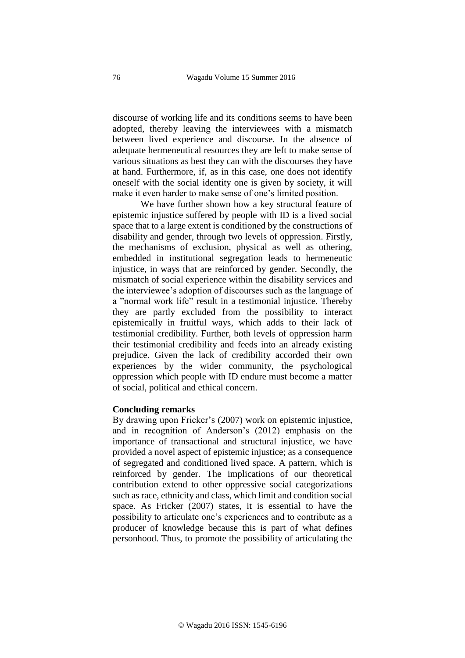discourse of working life and its conditions seems to have been adopted, thereby leaving the interviewees with a mismatch between lived experience and discourse. In the absence of adequate hermeneutical resources they are left to make sense of various situations as best they can with the discourses they have at hand. Furthermore, if, as in this case, one does not identify oneself with the social identity one is given by society, it will make it even harder to make sense of one's limited position.

We have further shown how a key structural feature of epistemic injustice suffered by people with ID is a lived social space that to a large extent is conditioned by the constructions of disability and gender, through two levels of oppression. Firstly, the mechanisms of exclusion, physical as well as othering, embedded in institutional segregation leads to hermeneutic injustice, in ways that are reinforced by gender. Secondly, the mismatch of social experience within the disability services and the interviewee's adoption of discourses such as the language of a "normal work life" result in a testimonial injustice. Thereby they are partly excluded from the possibility to interact epistemically in fruitful ways, which adds to their lack of testimonial credibility. Further, both levels of oppression harm their testimonial credibility and feeds into an already existing prejudice. Given the lack of credibility accorded their own experiences by the wider community, the psychological oppression which people with ID endure must become a matter of social, political and ethical concern.

# **Concluding remarks**

By drawing upon Fricker's (2007) work on epistemic injustice, and in recognition of Anderson's (2012) emphasis on the importance of transactional and structural injustice, we have provided a novel aspect of epistemic injustice; as a consequence of segregated and conditioned lived space. A pattern, which is reinforced by gender. The implications of our theoretical contribution extend to other oppressive social categorizations such as race, ethnicity and class, which limit and condition social space. As Fricker (2007) states, it is essential to have the possibility to articulate one's experiences and to contribute as a producer of knowledge because this is part of what defines personhood. Thus, to promote the possibility of articulating the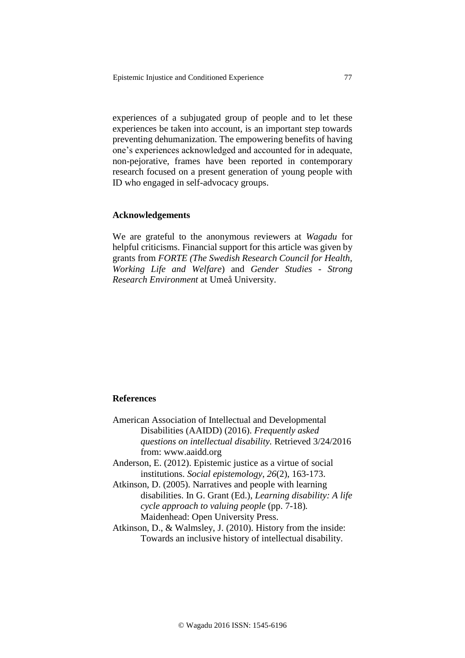experiences of a subjugated group of people and to let these experiences be taken into account, is an important step towards preventing dehumanization. The empowering benefits of having one's experiences acknowledged and accounted for in adequate, non-pejorative, frames have been reported in contemporary research focused on a present generation of young people with ID who engaged in self-advocacy groups.

#### **Acknowledgements**

We are grateful to the anonymous reviewers at *Wagadu* for helpful criticisms. Financial support for this article was given by grants from *FORTE (The Swedish Research Council for Health, Working Life and Welfare*) and *Gender Studies - Strong Research Environment* at Umeå University.

# **References**

- American Association of Intellectual and Developmental Disabilities (AAIDD) (2016). *Frequently asked questions on intellectual disability.* Retrieved 3/24/2016 from: www.aaidd.org Anderson, E. (2012). Epistemic justice as a virtue of social
- institutions. *Social epistemology*, *26*(2), 163-173.
- Atkinson, D. (2005). Narratives and people with learning disabilities. In G. Grant (Ed.), *Learning disability: A life cycle approach to valuing people* (pp. 7-18)*.* Maidenhead: Open University Press.
- Atkinson, D., & Walmsley, J. (2010). History from the inside: Towards an inclusive history of intellectual disability.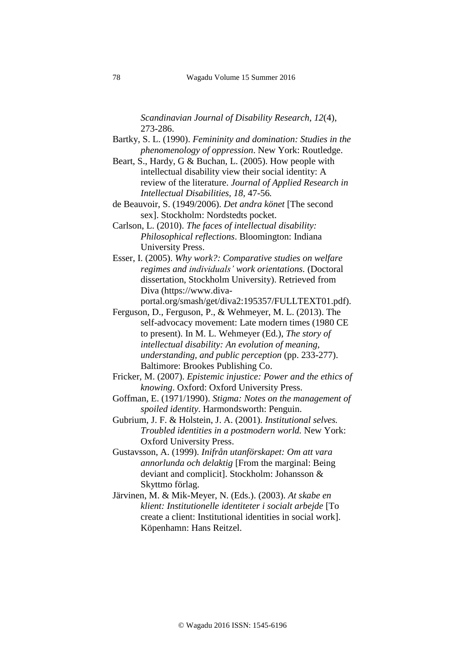*Scandinavian Journal of Disability Research*, *12*(4), 273-286.

- Bartky, S. L. (1990). *Femininity and domination: Studies in the phenomenology of oppression*. New York: Routledge.
- Beart, S., Hardy, G & Buchan, L. (2005). How people with intellectual disability view their social identity: A review of the literature. *Journal of Applied Research in Intellectual Disabilities, 18,* 47-56*.*
- de Beauvoir, S. (1949/2006). *Det andra könet* [The second sex]. Stockholm: Nordstedts pocket.
- Carlson, L. (2010). *The faces of intellectual disability: Philosophical reflections*. Bloomington: Indiana University Press.
- Esser, I. (2005). *Why work?: Comparative studies on welfare regimes and individuals' work orientations.* (Doctoral dissertation, Stockholm University). Retrieved from Diva (https://www.diva
	- portal.org/smash/get/diva2:195357/FULLTEXT01.pdf).
- Ferguson, D., Ferguson, P., & Wehmeyer, M. L. (2013). The self-advocacy movement: Late modern times (1980 CE to present). In M. L. Wehmeyer (Ed.), *The story of intellectual disability: An evolution of meaning, understanding, and public perception* (pp. 233-277). Baltimore: Brookes Publishing Co.
- Fricker, M. (2007). *Epistemic injustice: Power and the ethics of knowing*. Oxford: Oxford University Press.
- Goffman, E. (1971/1990). *Stigma: Notes on the management of spoiled identity*. Harmondsworth: Penguin.
- Gubrium, J. F. & Holstein, J. A. (2001). *Institutional selves. Troubled identities in a postmodern world.* New York: Oxford University Press.
- Gustavsson, A. (1999). *Inifrån utanförskapet: Om att vara annorlunda och delaktig* [From the marginal: Being deviant and complicit]. Stockholm: Johansson & Skyttmo förlag.
- Järvinen, M. & Mik-Meyer, N. (Eds.). (2003). *At skabe en klient: Institutionelle identiteter i socialt arbejde* [To create a client: Institutional identities in social work]. Köpenhamn: Hans Reitzel.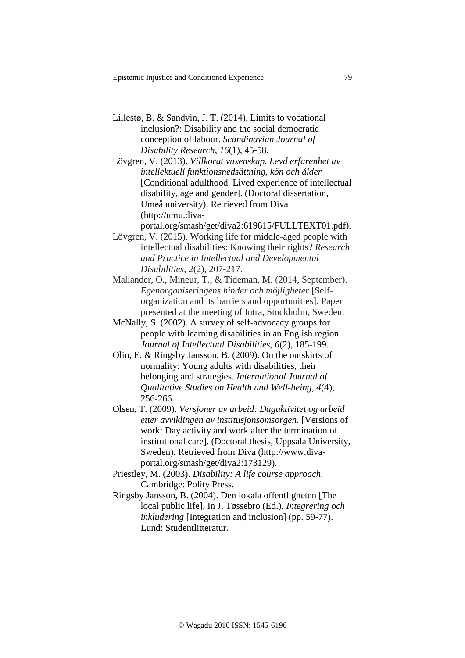- Lillestø, B. & Sandvin, J. T. (2014). Limits to vocational inclusion?: Disability and the social democratic conception of labour. *Scandinavian Journal of Disability Research*, *16*(1), 45-58.
- Lövgren, V. (2013). *Villkorat vuxenskap. Levd erfarenhet av intellektuell funktionsnedsättning, kön och ålder*  [Conditional adulthood. Lived experience of intellectual disability, age and gender]. (Doctoral dissertation, Umeå university). Retrieved from Diva (http://umu.divaportal.org/smash/get/diva2:619615/FULLTEXT01.pdf).
- Lövgren, V. (2015). Working life for middle-aged people with intellectual disabilities: Knowing their rights? *Research and Practice in Intellectual and Developmental Disabilities*, *2*(2), 207-217.
- Mallander, O., Mineur, T., & Tideman, M. (2014, September). *Egenorganiseringens hinder och möjligheter* [Selforganization and its barriers and opportunities]. Paper presented at the meeting of Intra, Stockholm, Sweden.
- McNally, S. (2002). A survey of self-advocacy groups for people with learning disabilities in an English region. *Journal of Intellectual Disabilities*, *6*(2), 185-199.
- Olin, E. & Ringsby Jansson, B. (2009). On the outskirts of normality: Young adults with disabilities, their belonging and strategies. *International Journal of Qualitative Studies on Health and Well-being*, *4*(4), 256-266.
- Olsen, T. (2009). *Versjoner av arbeid: Dagaktivitet og arbeid etter avviklingen av institusjonsomsorgen.* [Versions of work: Day activity and work after the termination of institutional care]. (Doctoral thesis, Uppsala University, Sweden). Retrieved from Diva (http://www.divaportal.org/smash/get/diva2:173129).
- Priestley, M. (2003). *Disability: A life course approach*. Cambridge: Polity Press.
- Ringsby Jansson, B. (2004). Den lokala offentligheten [The local public life]. In J. Tøssebro (Ed.), *Integrering och inkludering* [Integration and inclusion] (pp. 59-77). Lund: Studentlitteratur.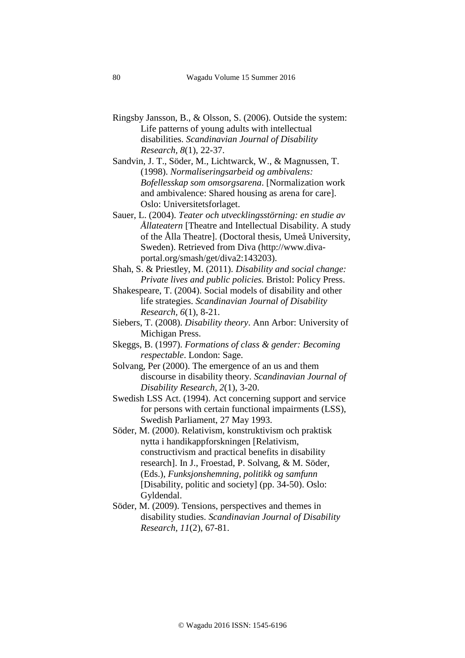Ringsby Jansson, B., & Olsson, S. (2006). Outside the system: Life patterns of young adults with intellectual disabilities. *Scandinavian Journal of Disability Research, 8*(1), 22-37.

Sandvin, J. T., Söder, M., Lichtwarck, W., & Magnussen, T. (1998). *Normaliseringsarbeid og ambivalens: Bofellesskap som omsorgsarena*. [Normalization work and ambivalence: Shared housing as arena for care]. Oslo: Universitetsforlaget.

- Sauer, L. (2004). *Teater och utvecklingsstörning: en studie av Ållateatern* [Theatre and Intellectual Disability. A study of the Ålla Theatre]. (Doctoral thesis, Umeå University, Sweden). Retrieved from Diva (http://www.divaportal.org/smash/get/diva2:143203).
- Shah, S. & Priestley, M. (2011). *Disability and social change: Private lives and public policies.* Bristol: Policy Press.
- Shakespeare, T. (2004). Social models of disability and other life strategies. *Scandinavian Journal of Disability Research, 6*(1), 8-21.
- Siebers, T. (2008). *Disability theory*. Ann Arbor: University of Michigan Press.
- Skeggs, B. (1997). *Formations of class & gender: Becoming respectable*. London: Sage.
- Solvang, Per (2000). The emergence of an us and them discourse in disability theory. *Scandinavian Journal of Disability Research, 2*(1), 3-20.
- Swedish LSS Act. (1994). Act concerning support and service for persons with certain functional impairments (LSS), Swedish Parliament, 27 May 1993.
- Söder, M. (2000). Relativism, konstruktivism och praktisk nytta i handikappforskningen [Relativism, constructivism and practical benefits in disability research]. In J., Froestad, P. Solvang, & M. Söder, (Eds.), *Funksjonshemning, politikk og samfunn* [Disability, politic and society] (pp. 34-50). Oslo: Gyldendal.
- Söder, M. (2009). Tensions, perspectives and themes in disability studies. *Scandinavian Journal of Disability Research, 11*(2), 67-81.